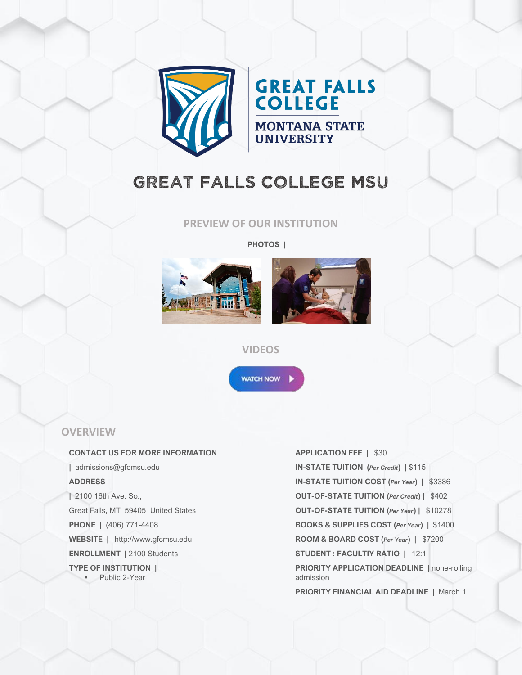

# **GREAT FALLS COLLEGE**

**MONTANA STATE**<br>UNIVERSITY

## GREAT FALLS COLLEGE MSU

**PREVIEW OF OUR INSTITUTION**

**PHOTOS |**





#### **VIDEOS**

**WATCH NOW** 

## **OVERVIEW**

#### **CONTACT US FOR MORE INFORMATION**

**|** admissions@gfcmsu.edu **ADDRESS |** 2100 16th Ave. So., Great Falls, MT 59405 United States **PHONE |** (406) 771-4408 **WEBSITE |** http://www.gfcmsu.edu **ENROLLMENT |** 2100 Students **TYPE OF INSTITUTION |** ■ Public 2-Year

## **APPLICATION FEE |** \$30 **IN-STATE TUITION (***Per Credit***) |** \$115 **IN-STATE TUITION COST (***Per Year***) |** \$3386 **OUT-OF-STATE TUITION (***Per Credit***) |** \$402 **OUT-OF-STATE TUITION (***Per Year***) |** \$10278 **BOOKS & SUPPLIES COST (***Per Year***) |** \$1400 **ROOM & BOARD COST (***Per Year***) |** \$7200 **STUDENT : FACULTIY RATIO |** 12:1 **PRIORITY APPLICATION DEADLINE |** none-rolling admission **PRIORITY FINANCIAL AID DEADLINE |** March 1